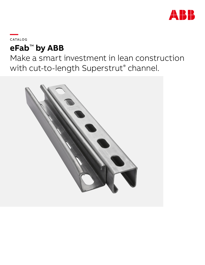

**—**C ATALOG

# **eFab**™ **by ABB**

Make a smart investment in lean construction with cut-to-length Superstrut® channel.

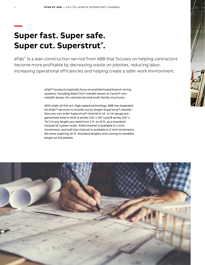## **Super fast. Super safe. Super cut. Superstrut® .**

**—**

eFab<sup>™</sup> is a lean construction service from ABB that focuses on helping contractors become more profitable by decreasing waste on jobsites, reducing labor, increasing operational efficiencies and helping create a safer work environment.

> eFab™ products typically focus on preFabricated branch wiring systems, including Steel City® metallic boxes or Carlon® nonmetallic boxes, for commercial and multi-family structures.

With state-of-the-art, high-speed technology, ABB has expanded its eFab™ services to include cut-to-length Superstrut® channel. Now you can order Superstrut® channel in 12- or 14-gauge pregalvanized steel in both A series (15 ⁄8" x 15 ⁄8") and B series (15 ⁄8" x 13/16") in any length you need from 1 ft. to 10 ft. as a standard instead of custom order. Solid channel is available in 1-inch increments, and half-slot channel is available in 2-inch increments. No more ordering 10-ft. standard lengths and cutting to installed length on the jobsite.

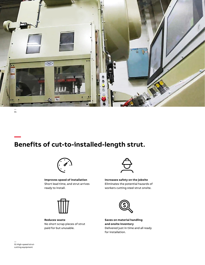

— 01

**—**

## **Benefits of cut-to-installed-length strut.**



**Improves speed of installation** Short lead time, and strut arrives ready to install.



**Reduces waste** No short scrap pieces of strut paid for but unusable.



**Increases safety on the jobsite** Eliminates the potential hazards of workers cutting steel strut onsite.



**Saves on material handling and onsite inventory** Delivered just in time and all ready for installation.

— 01 High-speed strutcutting equipment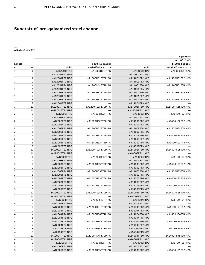### **Superstrut® pre-galvanized steel channel**

#### **— A Series 15⁄8" x 15⁄8"**

|                         |                |                                   |                        |                       | e (eFab™)              |  |
|-------------------------|----------------|-----------------------------------|------------------------|-----------------------|------------------------|--|
|                         |                |                                   |                        | $A(1\%" \times 1\%")$ |                        |  |
| Length                  |                |                                   | 1200 (12 gauge)        |                       | 1400 (14 gauge)        |  |
| Ft.                     | In.            | Solid                             | HS (half-slot 2" o.c.) | Solid                 | HS (half-slot 2" o.c.) |  |
| $\mathbf{1}$            | $\mathbf 0$    | eA12001FTPG                       | eA1200HS1FTPG          | eA14001FTPG           | eA1400HS1FTPG          |  |
| 1                       | 1              | eA12001FT1INPG                    |                        | eA14001FT1INPG        |                        |  |
| 1                       | 2              | eA12001FT2INPG                    | eA1200HS1FT2INPG       | eA14001FT2INPG        | eA1400HS1FT2INPG       |  |
| 1                       | 3              | eA12001FT3INPG                    |                        | eA14001FT3INPG        |                        |  |
| 1                       | $\overline{4}$ | eA12001FT4INPG                    | eA1200HS1FT4INPG       | eA14001FT4INPG        | eA1400HS1FT4INPG       |  |
| 1                       | 5              | eA12001FT5INPG                    |                        | eA14001FT5INPG        |                        |  |
| 1                       | 6              | eA12001FT6INPG                    | eA1200HS1FT6INPG       | eA14001FT6INPG        | eA1400HS1FT6INPG       |  |
| 1                       | $\bf 7$        | eA12001FT7INPG                    |                        | eA14001FT7INPG        |                        |  |
| 1                       | 8              | eA12001FT8INPG                    | eA1200HS1FT8INPG       | eA14001FT8INPG        | eA1400HS1FT8INPG       |  |
| 1                       | 9              | eA12001FT9INPG                    |                        | eA14001FT9INPG        |                        |  |
| 1                       | 10             | eA12001FT10INPG                   | eA1200HS1FT10INPG      | eA14001FT10INPG       | eA1400HS1FT10INPG      |  |
| 1                       | 11             | eA12001FT11INPG                   |                        | eA14001FT11INPG       |                        |  |
| 2                       | 0              | eA12002FTPG                       | eA1200HS2FTPG          | eA14002FTPG           | eA1400HS2FTPG          |  |
| $\overline{c}$          | 1              | eA12002FT1INPG                    |                        | eA14002FT1INPG        |                        |  |
| 2                       | $\overline{c}$ | eA12002FT2INPG                    | eA1200HS2FT2INPG       | eA14002FT2INPG        | eA1400HS2FT2INPG       |  |
| 2                       | 3              | eA12002FT3INPG                    |                        | eA14002FT3INPG        |                        |  |
| $\overline{c}$          | 4              | eA12002FT4INPG                    | eA1200HS2FT4INPG       | eA14002FT4INPG        | eA1400HS2FT4INPG       |  |
| 2                       | 5              | eA12002FT5INPG                    |                        | eA14002FT5INPG        |                        |  |
| $\mathsf{S}$            | 6              | eA12002FT6INPG                    | eA1200HS2FT6INPG       | eA14002FT6INPG        | eA1400HS2FT6INPG       |  |
| 2                       | $\overline{7}$ | eA12002FT7INPG                    |                        | eA14002FT7INPG        |                        |  |
| 2                       | 8              | eA12002FT8INPG                    | eA1200HS2FT8INPG       | eA14002FT8INPG        | eA1400HS2FT8INPG       |  |
| 2                       | 9              | eA12002FT9INPG                    |                        | eA14002FT9INPG        |                        |  |
| 2                       | 10             | eA12002FT10INPG                   | eA1200HS2FT10INPG      | eA14002FT10INPG       | eA1400HS2FT10INPG      |  |
| $\overline{c}$          | 11             | eA12002FT11INPG                   |                        | eA14002FT11INPG       |                        |  |
| 3                       | $\mathbf 0$    | eA12003FTPG                       | eA1200HS3FTPG          | eA14003FTPG           | eA1400HS3FTPG          |  |
| 3                       | 1              | eA12003FT1INPG                    |                        | eA14003FT1INPG        |                        |  |
| 3                       | 2              | eA12003FT2INPG                    | eA1200HS3FT2INPG       | eA14003FT2INPG        | eA1400HS3FT2INPG       |  |
| 3                       | 3              | eA12003FT3INPG                    |                        | eA14003FT3INPG        |                        |  |
| 3                       | 4              | eA12003FT4INPG                    | eA1200HS3FT4INPG       | eA14003FT4INPG        | eA1400HS3FT4INPG       |  |
| 3                       | 5              | eA12003FT5INPG                    |                        | eA14003FT5INPG        |                        |  |
| 3                       | 6              | eA12003FT6INPG                    | eA1200HS3FT6INPG       | eA14003FT6INPG        | eA1400HS3FT6INPG       |  |
| 3                       | $\bf 7$        | eA12003FT7INPG                    |                        | eA14003FT7INPG        |                        |  |
| 3                       | 8              | eA12003FT8INPG                    | eA1200HS3FT8INPG       | eA14003FT8INPG        | eA1400HS3FT8INPG       |  |
| 3                       | 9              | eA12003FT9INPG                    |                        | eA14003FT9INPG        |                        |  |
| 3                       | 10             | eA12003FT10INPG                   | eA1200HS3FT10INPG      | eA14003FT10INPG       | eA1400HS3FT10INPG      |  |
| 3                       | 11             | eA12003FT11INPG                   |                        | eA14003FT11INPG       |                        |  |
| $\overline{\mathbf{4}}$ | $\mathbf 0$    | eA12004FTPG                       | eA1200HS4FTPG          | eA14004FTPG           | eA1400HS4FTPG          |  |
| 4                       | $\mathbf{1}$   | eA12004FT1INPG                    |                        | eA14004FT1INPG        |                        |  |
| 4                       | 2              | eA12004FT2INPG                    | eA1200HS4FT2INPG       | eA14004FT2INPG        | eA1400HS4FT2INPG       |  |
| 4                       | 3              | eA12004FT3INPG                    |                        | eA14004FT3INPG        |                        |  |
| 4                       | 4              | eA12004FT4INPG                    | eA1200HS4FT4INPG       | eA14004FT4INPG        | eA1400HS4FT4INPG       |  |
| 4                       | 5              | eA12004FT5INPG                    |                        | eA14004FT5INPG        |                        |  |
| 4                       | 6              | eA12004FT6INPG                    | eA1200HS4FT6INPG       | eA14004FT6INPG        | eA1400HS4FT6INPG       |  |
| 4                       |                |                                   |                        | eA14004FT7INPG        |                        |  |
| 4                       | $\overline{7}$ | eA12004FT7INPG                    |                        | eA14004FT8INPG        |                        |  |
|                         | 8<br>9         | eA12004FT8INPG                    | eA1200HS4FT8INPG       |                       | eA1400HS4FT8INPG       |  |
| 4<br>4                  |                | eA12004FT9INPG<br>eA12004FT10INPG | eA1200HS4FT10INPG      | eA14004FT9INPG        | eA1400HS4FT10INPG      |  |
| 4                       | 10<br>11       |                                   |                        | eA14004FT10INPG       |                        |  |
| 5                       |                | eA12004FT11INPG                   |                        | eA14004FT11INPG       |                        |  |
| 5                       | 0              | eA12005FTPG                       | eA1200HS5FTPG          | eA14005FTPG           | eA1400HS5FTPG          |  |
|                         | 1              | eA12005FT1INPG                    |                        | eA14005FT1INPG        |                        |  |
| 5                       | $\overline{c}$ | eA12005FT2INPG                    | eA1200HS5FT2INPG       | eA14005FT2INPG        | eA1400HS5FT2INPG       |  |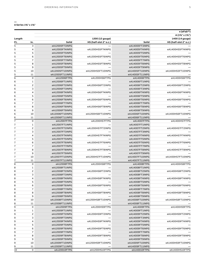| $A(1\%" \times 1\%")$<br>1400 (14 gauge)<br>Length<br>1200 (12 gauge)<br>Solid<br>HS (half-slot 2" o.c.)<br>Solid<br>HS (half-slot 2" o.c.)<br>In.<br>Ft.<br>$\mathsf 3$<br>5<br>eA12005FT3INPG<br>eA14005FT3INPG<br>$\overline{4}$<br>5<br>eA12005FT4INPG<br>eA1200HS5FT4INPG<br>eA14005FT4INPG<br>eA1400HS5FT4INPG<br>5<br>5<br>eA12005FT5INPG<br>eA14005FT5INPG<br>5<br>6<br>eA12005FT6INPG<br>eA1200HS5FT6INPG<br>eA1400HS5FT6INPG<br>eA14005FT6INPG<br>5<br>$\overline{7}$<br>eA12005FT7INPG<br>eA14005FT7INPG<br>8<br>5<br>eA1200HS5FT8INPG<br>eA12005FT8INPG<br>eA14005FT8INPG<br>eA1400HS5FT8INPG<br>5<br>9<br>eA12005FT9INPG<br>eA14005FT9INPG<br>5<br>10<br>eA12005FT10INPG<br>eA1200HS5FT10INPG<br>eA14005FT10INPG<br>eA1400HS5FT10INPG<br>5<br>11<br>eA12005FT11INPG<br>eA14005FT11INPG<br>6<br>$\mathbf 0$<br>eA1200HS6FTPG<br>eA1400HS6FTPG<br>eA12006FTPG<br>eA14006FTPG<br>6<br>$\mathbf{1}$<br>eA12006FT1INPG<br>eA14006FT1INPG<br>$\overline{c}$<br>6<br>eA12006FT2INPG<br>eA1200HS6FT2INPG<br>eA14006FT2INPG<br>eA1400HS6FT2INPG<br>3<br>6<br>eA12006FT3INPG<br>eA14006FT3INPG<br>6<br>4<br>eA12006FT4INPG<br>eA1200HS6FT4INPG<br>eA14006FT4INPG<br>eA1400HS6FT4INPG<br>5<br>6<br>eA12006FT5INPG<br>eA14006FT5INPG<br>6<br>6<br>eA12006FT6INPG<br>eA1200HS6FT6INPG<br>eA1400HS6FT6INPG<br>eA14006FT6INPG<br>$\overline{7}$<br>6<br>eA12006FT7INPG<br>eA14006FT7INPG<br>8<br>6<br>eA1200HS6FT8INPG<br>eA1400HS6FT8INPG<br>eA12006FT8INPG<br>eA14006FT8INPG<br>9<br>6<br>eA12006FT9INPG<br>eA14006FT9INPG<br>10<br>6<br>eA12006FT10INPG<br>eA1200HS6FT10INPG<br>eA1400HS6FT10INPG<br>eA14006FT10INPG<br>6<br>11<br>eA12006FT11INPG<br>eA14006FT11INPG<br>$\overline{7}$<br>$\mathsf{O}\xspace$<br>eA1200HS7FTPG<br>eA1400HS7FTPG<br>eA12007FTPG<br>eA14007FTPG<br>$\overline{7}$<br>1<br>eA12007FT1INPG<br>eA14007FT1INPG<br>$\overline{7}$<br>$\overline{c}$<br>eA12007FT2INPG<br>eA1200HS7FT2INPG<br>eA14007FT2INPG<br>eA1400HS7FT2INPG<br>$\mathsf 3$<br>$\overline{7}$<br>eA12007FT3INPG<br>eA14007FT3INPG<br>$\overline{7}$<br>$\overline{\mathbf{4}}$<br>eA12007FT4INPG<br>eA14007FT4INPG<br>eA1200HS7FT4INPG<br>eA1400HS7FT4INPG<br>$\overline{7}$<br>5<br>eA12007FT5INPG<br>eA14007FT5INPG<br>$\overline{7}$<br>6<br>eA12007FT6INPG<br>eA1200HS7FT6INPG<br>eA14007FT6INPG<br>eA1400HS7FT6INPG<br>$\bf 7$<br>$\overline{7}$<br>eA12007FT7INPG<br>eA14007FT7INPG<br>$\overline{7}$<br>8<br>eA12007FT8INPG<br>eA1200HS7FT8INPG<br>eA14007FT8INPG<br>eA1400HS7FT8INPG<br>$\overline{7}$<br>9<br>eA12007FT9INPG<br>eA14007FT9INPG<br>$\overline{7}$<br>10<br>eA12007FT10INPG<br>eA1200HS7FT10INPG<br>eA14007FT10INPG<br>eA1400HS7FT10INPG<br>$\overline{7}$<br>11<br>eA12007FT11INPG<br>eA14007FT11INPG<br>8<br>$\mathsf O$<br>eA1200HS8FTPG<br>eA1400HS8FTPG<br>eA12008FTPG<br>eA14008FTPG<br>8<br>1<br>eA12008FT1INPG<br>eA14008FT1INPG<br>$\overline{c}$<br>8<br>eA12008FT2INPG<br>eA1200HS8FT2INPG<br>eA14008FT2INPG<br>eA1400HS8FT2INPG<br>8<br>3<br>eA12008FT3INPG<br>eA14008FT3INPG<br>8<br>4<br>eA1200HS8FT4INPG<br>eA1400HS8FT4INPG<br>eA12008FT4INPG<br>eA14008FT4INPG<br>8<br>5<br>eA12008FT5INPG<br>eA14008FT5INPG<br>6<br>8<br>eA12008FT6INPG<br>eA1200HS8FT6INPG<br>eA14008FT6INPG<br>eA1400HS8FT6INPG<br>8<br>$\bf 7$<br>eA12008FT7INPG<br>eA14008FT7INPG<br>8<br>8<br>eA12008FT8INPG<br>eA1200HS8FT8INPG<br>eA14008FT8INPG<br>eA1400HS8FT8INPG<br>8<br>9<br>eA12008FT9INPG<br>eA14008FT9INPG<br>8<br>10<br>eA12008FT10INPG<br>eA1200HS8FT10INPG<br>eA14008FT10INPG<br>eA1400HS8FT10INPG<br>8<br>11<br>eA12008FT11INPG<br>eA14008FT11INPG<br>9<br>$\mathsf{o}$<br>eA1400HS9FTPG<br>eA12009FTPG<br>eA1200HS9FTPG<br>eA14009FTPG<br>9<br>1<br>eA12009FT1INPG<br>eA14009FT1INPG<br>9<br>$\overline{c}$<br>eA12009FT2INPG<br>eA1200HS9FT2INPG<br>eA14009FT2INPG<br>eA1400HS9FT2INPG<br>3<br>9<br>eA12009FT3INPG<br>eA14009FT3INPG<br>9<br>4<br>eA12009FT4INPG<br>eA1200HS9FT4INPG<br>eA14009FT4INPG<br>eA1400HS9FT4INPG<br>9<br>5<br>eA12009FT5INPG<br>eA14009FT5INPG<br>6<br>9<br>eA12009FT6INPG<br>eA1200HS9FT6INPG<br>eA14009FT6INPG<br>eA1400HS9FT6INPG<br>$\bf 7$<br>9<br>eA12009FT7INPG<br>eA14009FT7INPG<br>9<br>8<br>eA12009FT8INPG<br>eA1200HS9FT8INPG<br>eA14009FT8INPG<br>eA1400HS9FT8INPG<br>9<br>9<br>eA12009FT9INPG<br>eA14009FT9INPG<br>9<br>10<br>eA12009FT10INPG<br>eA1200HS9FT10INPG<br>eA14009FT10INPG<br>eA1400HS9FT10INPG<br>9<br>11<br>eA12009FT11INPG<br>eA14009FT11INPG<br>0<br>eA1200HS10FTPG<br>eA1400HS10FTPG<br>10<br>eA120010FTPG<br>eA140010FTPG |  |  | e (eFab™) |
|---------------------------------------------------------------------------------------------------------------------------------------------------------------------------------------------------------------------------------------------------------------------------------------------------------------------------------------------------------------------------------------------------------------------------------------------------------------------------------------------------------------------------------------------------------------------------------------------------------------------------------------------------------------------------------------------------------------------------------------------------------------------------------------------------------------------------------------------------------------------------------------------------------------------------------------------------------------------------------------------------------------------------------------------------------------------------------------------------------------------------------------------------------------------------------------------------------------------------------------------------------------------------------------------------------------------------------------------------------------------------------------------------------------------------------------------------------------------------------------------------------------------------------------------------------------------------------------------------------------------------------------------------------------------------------------------------------------------------------------------------------------------------------------------------------------------------------------------------------------------------------------------------------------------------------------------------------------------------------------------------------------------------------------------------------------------------------------------------------------------------------------------------------------------------------------------------------------------------------------------------------------------------------------------------------------------------------------------------------------------------------------------------------------------------------------------------------------------------------------------------------------------------------------------------------------------------------------------------------------------------------------------------------------------------------------------------------------------------------------------------------------------------------------------------------------------------------------------------------------------------------------------------------------------------------------------------------------------------------------------------------------------------------------------------------------------------------------------------------------------------------------------------------------------------------------------------------------------------------------------------------------------------------------------------------------------------------------------------------------------------------------------------------------------------------------------------------------------------------------------------------------------------------------------------------------------------------------------------------------------------------------------------------------------------------------------------------------------------------------------------------------------------------------------------------------------------------------------------------------------------------------------------------------------------------------------------------------------------------------------------------------------------------------------------------------------------------------------------------------------------------------------------------------------------------------------------------------------------------------------------------------------------------------------------------------------------------------------------------------------------------------------------------------------------------------------------------------------------------------------------------------|--|--|-----------|
|                                                                                                                                                                                                                                                                                                                                                                                                                                                                                                                                                                                                                                                                                                                                                                                                                                                                                                                                                                                                                                                                                                                                                                                                                                                                                                                                                                                                                                                                                                                                                                                                                                                                                                                                                                                                                                                                                                                                                                                                                                                                                                                                                                                                                                                                                                                                                                                                                                                                                                                                                                                                                                                                                                                                                                                                                                                                                                                                                                                                                                                                                                                                                                                                                                                                                                                                                                                                                                                                                                                                                                                                                                                                                                                                                                                                                                                                                                                                                                                                                                                                                                                                                                                                                                                                                                                                                                                                                                                                                                               |  |  |           |
|                                                                                                                                                                                                                                                                                                                                                                                                                                                                                                                                                                                                                                                                                                                                                                                                                                                                                                                                                                                                                                                                                                                                                                                                                                                                                                                                                                                                                                                                                                                                                                                                                                                                                                                                                                                                                                                                                                                                                                                                                                                                                                                                                                                                                                                                                                                                                                                                                                                                                                                                                                                                                                                                                                                                                                                                                                                                                                                                                                                                                                                                                                                                                                                                                                                                                                                                                                                                                                                                                                                                                                                                                                                                                                                                                                                                                                                                                                                                                                                                                                                                                                                                                                                                                                                                                                                                                                                                                                                                                                               |  |  |           |
|                                                                                                                                                                                                                                                                                                                                                                                                                                                                                                                                                                                                                                                                                                                                                                                                                                                                                                                                                                                                                                                                                                                                                                                                                                                                                                                                                                                                                                                                                                                                                                                                                                                                                                                                                                                                                                                                                                                                                                                                                                                                                                                                                                                                                                                                                                                                                                                                                                                                                                                                                                                                                                                                                                                                                                                                                                                                                                                                                                                                                                                                                                                                                                                                                                                                                                                                                                                                                                                                                                                                                                                                                                                                                                                                                                                                                                                                                                                                                                                                                                                                                                                                                                                                                                                                                                                                                                                                                                                                                                               |  |  |           |
|                                                                                                                                                                                                                                                                                                                                                                                                                                                                                                                                                                                                                                                                                                                                                                                                                                                                                                                                                                                                                                                                                                                                                                                                                                                                                                                                                                                                                                                                                                                                                                                                                                                                                                                                                                                                                                                                                                                                                                                                                                                                                                                                                                                                                                                                                                                                                                                                                                                                                                                                                                                                                                                                                                                                                                                                                                                                                                                                                                                                                                                                                                                                                                                                                                                                                                                                                                                                                                                                                                                                                                                                                                                                                                                                                                                                                                                                                                                                                                                                                                                                                                                                                                                                                                                                                                                                                                                                                                                                                                               |  |  |           |
|                                                                                                                                                                                                                                                                                                                                                                                                                                                                                                                                                                                                                                                                                                                                                                                                                                                                                                                                                                                                                                                                                                                                                                                                                                                                                                                                                                                                                                                                                                                                                                                                                                                                                                                                                                                                                                                                                                                                                                                                                                                                                                                                                                                                                                                                                                                                                                                                                                                                                                                                                                                                                                                                                                                                                                                                                                                                                                                                                                                                                                                                                                                                                                                                                                                                                                                                                                                                                                                                                                                                                                                                                                                                                                                                                                                                                                                                                                                                                                                                                                                                                                                                                                                                                                                                                                                                                                                                                                                                                                               |  |  |           |
|                                                                                                                                                                                                                                                                                                                                                                                                                                                                                                                                                                                                                                                                                                                                                                                                                                                                                                                                                                                                                                                                                                                                                                                                                                                                                                                                                                                                                                                                                                                                                                                                                                                                                                                                                                                                                                                                                                                                                                                                                                                                                                                                                                                                                                                                                                                                                                                                                                                                                                                                                                                                                                                                                                                                                                                                                                                                                                                                                                                                                                                                                                                                                                                                                                                                                                                                                                                                                                                                                                                                                                                                                                                                                                                                                                                                                                                                                                                                                                                                                                                                                                                                                                                                                                                                                                                                                                                                                                                                                                               |  |  |           |
|                                                                                                                                                                                                                                                                                                                                                                                                                                                                                                                                                                                                                                                                                                                                                                                                                                                                                                                                                                                                                                                                                                                                                                                                                                                                                                                                                                                                                                                                                                                                                                                                                                                                                                                                                                                                                                                                                                                                                                                                                                                                                                                                                                                                                                                                                                                                                                                                                                                                                                                                                                                                                                                                                                                                                                                                                                                                                                                                                                                                                                                                                                                                                                                                                                                                                                                                                                                                                                                                                                                                                                                                                                                                                                                                                                                                                                                                                                                                                                                                                                                                                                                                                                                                                                                                                                                                                                                                                                                                                                               |  |  |           |
|                                                                                                                                                                                                                                                                                                                                                                                                                                                                                                                                                                                                                                                                                                                                                                                                                                                                                                                                                                                                                                                                                                                                                                                                                                                                                                                                                                                                                                                                                                                                                                                                                                                                                                                                                                                                                                                                                                                                                                                                                                                                                                                                                                                                                                                                                                                                                                                                                                                                                                                                                                                                                                                                                                                                                                                                                                                                                                                                                                                                                                                                                                                                                                                                                                                                                                                                                                                                                                                                                                                                                                                                                                                                                                                                                                                                                                                                                                                                                                                                                                                                                                                                                                                                                                                                                                                                                                                                                                                                                                               |  |  |           |
|                                                                                                                                                                                                                                                                                                                                                                                                                                                                                                                                                                                                                                                                                                                                                                                                                                                                                                                                                                                                                                                                                                                                                                                                                                                                                                                                                                                                                                                                                                                                                                                                                                                                                                                                                                                                                                                                                                                                                                                                                                                                                                                                                                                                                                                                                                                                                                                                                                                                                                                                                                                                                                                                                                                                                                                                                                                                                                                                                                                                                                                                                                                                                                                                                                                                                                                                                                                                                                                                                                                                                                                                                                                                                                                                                                                                                                                                                                                                                                                                                                                                                                                                                                                                                                                                                                                                                                                                                                                                                                               |  |  |           |
|                                                                                                                                                                                                                                                                                                                                                                                                                                                                                                                                                                                                                                                                                                                                                                                                                                                                                                                                                                                                                                                                                                                                                                                                                                                                                                                                                                                                                                                                                                                                                                                                                                                                                                                                                                                                                                                                                                                                                                                                                                                                                                                                                                                                                                                                                                                                                                                                                                                                                                                                                                                                                                                                                                                                                                                                                                                                                                                                                                                                                                                                                                                                                                                                                                                                                                                                                                                                                                                                                                                                                                                                                                                                                                                                                                                                                                                                                                                                                                                                                                                                                                                                                                                                                                                                                                                                                                                                                                                                                                               |  |  |           |
|                                                                                                                                                                                                                                                                                                                                                                                                                                                                                                                                                                                                                                                                                                                                                                                                                                                                                                                                                                                                                                                                                                                                                                                                                                                                                                                                                                                                                                                                                                                                                                                                                                                                                                                                                                                                                                                                                                                                                                                                                                                                                                                                                                                                                                                                                                                                                                                                                                                                                                                                                                                                                                                                                                                                                                                                                                                                                                                                                                                                                                                                                                                                                                                                                                                                                                                                                                                                                                                                                                                                                                                                                                                                                                                                                                                                                                                                                                                                                                                                                                                                                                                                                                                                                                                                                                                                                                                                                                                                                                               |  |  |           |
|                                                                                                                                                                                                                                                                                                                                                                                                                                                                                                                                                                                                                                                                                                                                                                                                                                                                                                                                                                                                                                                                                                                                                                                                                                                                                                                                                                                                                                                                                                                                                                                                                                                                                                                                                                                                                                                                                                                                                                                                                                                                                                                                                                                                                                                                                                                                                                                                                                                                                                                                                                                                                                                                                                                                                                                                                                                                                                                                                                                                                                                                                                                                                                                                                                                                                                                                                                                                                                                                                                                                                                                                                                                                                                                                                                                                                                                                                                                                                                                                                                                                                                                                                                                                                                                                                                                                                                                                                                                                                                               |  |  |           |
|                                                                                                                                                                                                                                                                                                                                                                                                                                                                                                                                                                                                                                                                                                                                                                                                                                                                                                                                                                                                                                                                                                                                                                                                                                                                                                                                                                                                                                                                                                                                                                                                                                                                                                                                                                                                                                                                                                                                                                                                                                                                                                                                                                                                                                                                                                                                                                                                                                                                                                                                                                                                                                                                                                                                                                                                                                                                                                                                                                                                                                                                                                                                                                                                                                                                                                                                                                                                                                                                                                                                                                                                                                                                                                                                                                                                                                                                                                                                                                                                                                                                                                                                                                                                                                                                                                                                                                                                                                                                                                               |  |  |           |
|                                                                                                                                                                                                                                                                                                                                                                                                                                                                                                                                                                                                                                                                                                                                                                                                                                                                                                                                                                                                                                                                                                                                                                                                                                                                                                                                                                                                                                                                                                                                                                                                                                                                                                                                                                                                                                                                                                                                                                                                                                                                                                                                                                                                                                                                                                                                                                                                                                                                                                                                                                                                                                                                                                                                                                                                                                                                                                                                                                                                                                                                                                                                                                                                                                                                                                                                                                                                                                                                                                                                                                                                                                                                                                                                                                                                                                                                                                                                                                                                                                                                                                                                                                                                                                                                                                                                                                                                                                                                                                               |  |  |           |
|                                                                                                                                                                                                                                                                                                                                                                                                                                                                                                                                                                                                                                                                                                                                                                                                                                                                                                                                                                                                                                                                                                                                                                                                                                                                                                                                                                                                                                                                                                                                                                                                                                                                                                                                                                                                                                                                                                                                                                                                                                                                                                                                                                                                                                                                                                                                                                                                                                                                                                                                                                                                                                                                                                                                                                                                                                                                                                                                                                                                                                                                                                                                                                                                                                                                                                                                                                                                                                                                                                                                                                                                                                                                                                                                                                                                                                                                                                                                                                                                                                                                                                                                                                                                                                                                                                                                                                                                                                                                                                               |  |  |           |
|                                                                                                                                                                                                                                                                                                                                                                                                                                                                                                                                                                                                                                                                                                                                                                                                                                                                                                                                                                                                                                                                                                                                                                                                                                                                                                                                                                                                                                                                                                                                                                                                                                                                                                                                                                                                                                                                                                                                                                                                                                                                                                                                                                                                                                                                                                                                                                                                                                                                                                                                                                                                                                                                                                                                                                                                                                                                                                                                                                                                                                                                                                                                                                                                                                                                                                                                                                                                                                                                                                                                                                                                                                                                                                                                                                                                                                                                                                                                                                                                                                                                                                                                                                                                                                                                                                                                                                                                                                                                                                               |  |  |           |
|                                                                                                                                                                                                                                                                                                                                                                                                                                                                                                                                                                                                                                                                                                                                                                                                                                                                                                                                                                                                                                                                                                                                                                                                                                                                                                                                                                                                                                                                                                                                                                                                                                                                                                                                                                                                                                                                                                                                                                                                                                                                                                                                                                                                                                                                                                                                                                                                                                                                                                                                                                                                                                                                                                                                                                                                                                                                                                                                                                                                                                                                                                                                                                                                                                                                                                                                                                                                                                                                                                                                                                                                                                                                                                                                                                                                                                                                                                                                                                                                                                                                                                                                                                                                                                                                                                                                                                                                                                                                                                               |  |  |           |
|                                                                                                                                                                                                                                                                                                                                                                                                                                                                                                                                                                                                                                                                                                                                                                                                                                                                                                                                                                                                                                                                                                                                                                                                                                                                                                                                                                                                                                                                                                                                                                                                                                                                                                                                                                                                                                                                                                                                                                                                                                                                                                                                                                                                                                                                                                                                                                                                                                                                                                                                                                                                                                                                                                                                                                                                                                                                                                                                                                                                                                                                                                                                                                                                                                                                                                                                                                                                                                                                                                                                                                                                                                                                                                                                                                                                                                                                                                                                                                                                                                                                                                                                                                                                                                                                                                                                                                                                                                                                                                               |  |  |           |
|                                                                                                                                                                                                                                                                                                                                                                                                                                                                                                                                                                                                                                                                                                                                                                                                                                                                                                                                                                                                                                                                                                                                                                                                                                                                                                                                                                                                                                                                                                                                                                                                                                                                                                                                                                                                                                                                                                                                                                                                                                                                                                                                                                                                                                                                                                                                                                                                                                                                                                                                                                                                                                                                                                                                                                                                                                                                                                                                                                                                                                                                                                                                                                                                                                                                                                                                                                                                                                                                                                                                                                                                                                                                                                                                                                                                                                                                                                                                                                                                                                                                                                                                                                                                                                                                                                                                                                                                                                                                                                               |  |  |           |
|                                                                                                                                                                                                                                                                                                                                                                                                                                                                                                                                                                                                                                                                                                                                                                                                                                                                                                                                                                                                                                                                                                                                                                                                                                                                                                                                                                                                                                                                                                                                                                                                                                                                                                                                                                                                                                                                                                                                                                                                                                                                                                                                                                                                                                                                                                                                                                                                                                                                                                                                                                                                                                                                                                                                                                                                                                                                                                                                                                                                                                                                                                                                                                                                                                                                                                                                                                                                                                                                                                                                                                                                                                                                                                                                                                                                                                                                                                                                                                                                                                                                                                                                                                                                                                                                                                                                                                                                                                                                                                               |  |  |           |
|                                                                                                                                                                                                                                                                                                                                                                                                                                                                                                                                                                                                                                                                                                                                                                                                                                                                                                                                                                                                                                                                                                                                                                                                                                                                                                                                                                                                                                                                                                                                                                                                                                                                                                                                                                                                                                                                                                                                                                                                                                                                                                                                                                                                                                                                                                                                                                                                                                                                                                                                                                                                                                                                                                                                                                                                                                                                                                                                                                                                                                                                                                                                                                                                                                                                                                                                                                                                                                                                                                                                                                                                                                                                                                                                                                                                                                                                                                                                                                                                                                                                                                                                                                                                                                                                                                                                                                                                                                                                                                               |  |  |           |
|                                                                                                                                                                                                                                                                                                                                                                                                                                                                                                                                                                                                                                                                                                                                                                                                                                                                                                                                                                                                                                                                                                                                                                                                                                                                                                                                                                                                                                                                                                                                                                                                                                                                                                                                                                                                                                                                                                                                                                                                                                                                                                                                                                                                                                                                                                                                                                                                                                                                                                                                                                                                                                                                                                                                                                                                                                                                                                                                                                                                                                                                                                                                                                                                                                                                                                                                                                                                                                                                                                                                                                                                                                                                                                                                                                                                                                                                                                                                                                                                                                                                                                                                                                                                                                                                                                                                                                                                                                                                                                               |  |  |           |
|                                                                                                                                                                                                                                                                                                                                                                                                                                                                                                                                                                                                                                                                                                                                                                                                                                                                                                                                                                                                                                                                                                                                                                                                                                                                                                                                                                                                                                                                                                                                                                                                                                                                                                                                                                                                                                                                                                                                                                                                                                                                                                                                                                                                                                                                                                                                                                                                                                                                                                                                                                                                                                                                                                                                                                                                                                                                                                                                                                                                                                                                                                                                                                                                                                                                                                                                                                                                                                                                                                                                                                                                                                                                                                                                                                                                                                                                                                                                                                                                                                                                                                                                                                                                                                                                                                                                                                                                                                                                                                               |  |  |           |
|                                                                                                                                                                                                                                                                                                                                                                                                                                                                                                                                                                                                                                                                                                                                                                                                                                                                                                                                                                                                                                                                                                                                                                                                                                                                                                                                                                                                                                                                                                                                                                                                                                                                                                                                                                                                                                                                                                                                                                                                                                                                                                                                                                                                                                                                                                                                                                                                                                                                                                                                                                                                                                                                                                                                                                                                                                                                                                                                                                                                                                                                                                                                                                                                                                                                                                                                                                                                                                                                                                                                                                                                                                                                                                                                                                                                                                                                                                                                                                                                                                                                                                                                                                                                                                                                                                                                                                                                                                                                                                               |  |  |           |
|                                                                                                                                                                                                                                                                                                                                                                                                                                                                                                                                                                                                                                                                                                                                                                                                                                                                                                                                                                                                                                                                                                                                                                                                                                                                                                                                                                                                                                                                                                                                                                                                                                                                                                                                                                                                                                                                                                                                                                                                                                                                                                                                                                                                                                                                                                                                                                                                                                                                                                                                                                                                                                                                                                                                                                                                                                                                                                                                                                                                                                                                                                                                                                                                                                                                                                                                                                                                                                                                                                                                                                                                                                                                                                                                                                                                                                                                                                                                                                                                                                                                                                                                                                                                                                                                                                                                                                                                                                                                                                               |  |  |           |
|                                                                                                                                                                                                                                                                                                                                                                                                                                                                                                                                                                                                                                                                                                                                                                                                                                                                                                                                                                                                                                                                                                                                                                                                                                                                                                                                                                                                                                                                                                                                                                                                                                                                                                                                                                                                                                                                                                                                                                                                                                                                                                                                                                                                                                                                                                                                                                                                                                                                                                                                                                                                                                                                                                                                                                                                                                                                                                                                                                                                                                                                                                                                                                                                                                                                                                                                                                                                                                                                                                                                                                                                                                                                                                                                                                                                                                                                                                                                                                                                                                                                                                                                                                                                                                                                                                                                                                                                                                                                                                               |  |  |           |
|                                                                                                                                                                                                                                                                                                                                                                                                                                                                                                                                                                                                                                                                                                                                                                                                                                                                                                                                                                                                                                                                                                                                                                                                                                                                                                                                                                                                                                                                                                                                                                                                                                                                                                                                                                                                                                                                                                                                                                                                                                                                                                                                                                                                                                                                                                                                                                                                                                                                                                                                                                                                                                                                                                                                                                                                                                                                                                                                                                                                                                                                                                                                                                                                                                                                                                                                                                                                                                                                                                                                                                                                                                                                                                                                                                                                                                                                                                                                                                                                                                                                                                                                                                                                                                                                                                                                                                                                                                                                                                               |  |  |           |
|                                                                                                                                                                                                                                                                                                                                                                                                                                                                                                                                                                                                                                                                                                                                                                                                                                                                                                                                                                                                                                                                                                                                                                                                                                                                                                                                                                                                                                                                                                                                                                                                                                                                                                                                                                                                                                                                                                                                                                                                                                                                                                                                                                                                                                                                                                                                                                                                                                                                                                                                                                                                                                                                                                                                                                                                                                                                                                                                                                                                                                                                                                                                                                                                                                                                                                                                                                                                                                                                                                                                                                                                                                                                                                                                                                                                                                                                                                                                                                                                                                                                                                                                                                                                                                                                                                                                                                                                                                                                                                               |  |  |           |
|                                                                                                                                                                                                                                                                                                                                                                                                                                                                                                                                                                                                                                                                                                                                                                                                                                                                                                                                                                                                                                                                                                                                                                                                                                                                                                                                                                                                                                                                                                                                                                                                                                                                                                                                                                                                                                                                                                                                                                                                                                                                                                                                                                                                                                                                                                                                                                                                                                                                                                                                                                                                                                                                                                                                                                                                                                                                                                                                                                                                                                                                                                                                                                                                                                                                                                                                                                                                                                                                                                                                                                                                                                                                                                                                                                                                                                                                                                                                                                                                                                                                                                                                                                                                                                                                                                                                                                                                                                                                                                               |  |  |           |
|                                                                                                                                                                                                                                                                                                                                                                                                                                                                                                                                                                                                                                                                                                                                                                                                                                                                                                                                                                                                                                                                                                                                                                                                                                                                                                                                                                                                                                                                                                                                                                                                                                                                                                                                                                                                                                                                                                                                                                                                                                                                                                                                                                                                                                                                                                                                                                                                                                                                                                                                                                                                                                                                                                                                                                                                                                                                                                                                                                                                                                                                                                                                                                                                                                                                                                                                                                                                                                                                                                                                                                                                                                                                                                                                                                                                                                                                                                                                                                                                                                                                                                                                                                                                                                                                                                                                                                                                                                                                                                               |  |  |           |
|                                                                                                                                                                                                                                                                                                                                                                                                                                                                                                                                                                                                                                                                                                                                                                                                                                                                                                                                                                                                                                                                                                                                                                                                                                                                                                                                                                                                                                                                                                                                                                                                                                                                                                                                                                                                                                                                                                                                                                                                                                                                                                                                                                                                                                                                                                                                                                                                                                                                                                                                                                                                                                                                                                                                                                                                                                                                                                                                                                                                                                                                                                                                                                                                                                                                                                                                                                                                                                                                                                                                                                                                                                                                                                                                                                                                                                                                                                                                                                                                                                                                                                                                                                                                                                                                                                                                                                                                                                                                                                               |  |  |           |
|                                                                                                                                                                                                                                                                                                                                                                                                                                                                                                                                                                                                                                                                                                                                                                                                                                                                                                                                                                                                                                                                                                                                                                                                                                                                                                                                                                                                                                                                                                                                                                                                                                                                                                                                                                                                                                                                                                                                                                                                                                                                                                                                                                                                                                                                                                                                                                                                                                                                                                                                                                                                                                                                                                                                                                                                                                                                                                                                                                                                                                                                                                                                                                                                                                                                                                                                                                                                                                                                                                                                                                                                                                                                                                                                                                                                                                                                                                                                                                                                                                                                                                                                                                                                                                                                                                                                                                                                                                                                                                               |  |  |           |
|                                                                                                                                                                                                                                                                                                                                                                                                                                                                                                                                                                                                                                                                                                                                                                                                                                                                                                                                                                                                                                                                                                                                                                                                                                                                                                                                                                                                                                                                                                                                                                                                                                                                                                                                                                                                                                                                                                                                                                                                                                                                                                                                                                                                                                                                                                                                                                                                                                                                                                                                                                                                                                                                                                                                                                                                                                                                                                                                                                                                                                                                                                                                                                                                                                                                                                                                                                                                                                                                                                                                                                                                                                                                                                                                                                                                                                                                                                                                                                                                                                                                                                                                                                                                                                                                                                                                                                                                                                                                                                               |  |  |           |
|                                                                                                                                                                                                                                                                                                                                                                                                                                                                                                                                                                                                                                                                                                                                                                                                                                                                                                                                                                                                                                                                                                                                                                                                                                                                                                                                                                                                                                                                                                                                                                                                                                                                                                                                                                                                                                                                                                                                                                                                                                                                                                                                                                                                                                                                                                                                                                                                                                                                                                                                                                                                                                                                                                                                                                                                                                                                                                                                                                                                                                                                                                                                                                                                                                                                                                                                                                                                                                                                                                                                                                                                                                                                                                                                                                                                                                                                                                                                                                                                                                                                                                                                                                                                                                                                                                                                                                                                                                                                                                               |  |  |           |
|                                                                                                                                                                                                                                                                                                                                                                                                                                                                                                                                                                                                                                                                                                                                                                                                                                                                                                                                                                                                                                                                                                                                                                                                                                                                                                                                                                                                                                                                                                                                                                                                                                                                                                                                                                                                                                                                                                                                                                                                                                                                                                                                                                                                                                                                                                                                                                                                                                                                                                                                                                                                                                                                                                                                                                                                                                                                                                                                                                                                                                                                                                                                                                                                                                                                                                                                                                                                                                                                                                                                                                                                                                                                                                                                                                                                                                                                                                                                                                                                                                                                                                                                                                                                                                                                                                                                                                                                                                                                                                               |  |  |           |
|                                                                                                                                                                                                                                                                                                                                                                                                                                                                                                                                                                                                                                                                                                                                                                                                                                                                                                                                                                                                                                                                                                                                                                                                                                                                                                                                                                                                                                                                                                                                                                                                                                                                                                                                                                                                                                                                                                                                                                                                                                                                                                                                                                                                                                                                                                                                                                                                                                                                                                                                                                                                                                                                                                                                                                                                                                                                                                                                                                                                                                                                                                                                                                                                                                                                                                                                                                                                                                                                                                                                                                                                                                                                                                                                                                                                                                                                                                                                                                                                                                                                                                                                                                                                                                                                                                                                                                                                                                                                                                               |  |  |           |
|                                                                                                                                                                                                                                                                                                                                                                                                                                                                                                                                                                                                                                                                                                                                                                                                                                                                                                                                                                                                                                                                                                                                                                                                                                                                                                                                                                                                                                                                                                                                                                                                                                                                                                                                                                                                                                                                                                                                                                                                                                                                                                                                                                                                                                                                                                                                                                                                                                                                                                                                                                                                                                                                                                                                                                                                                                                                                                                                                                                                                                                                                                                                                                                                                                                                                                                                                                                                                                                                                                                                                                                                                                                                                                                                                                                                                                                                                                                                                                                                                                                                                                                                                                                                                                                                                                                                                                                                                                                                                                               |  |  |           |
|                                                                                                                                                                                                                                                                                                                                                                                                                                                                                                                                                                                                                                                                                                                                                                                                                                                                                                                                                                                                                                                                                                                                                                                                                                                                                                                                                                                                                                                                                                                                                                                                                                                                                                                                                                                                                                                                                                                                                                                                                                                                                                                                                                                                                                                                                                                                                                                                                                                                                                                                                                                                                                                                                                                                                                                                                                                                                                                                                                                                                                                                                                                                                                                                                                                                                                                                                                                                                                                                                                                                                                                                                                                                                                                                                                                                                                                                                                                                                                                                                                                                                                                                                                                                                                                                                                                                                                                                                                                                                                               |  |  |           |
|                                                                                                                                                                                                                                                                                                                                                                                                                                                                                                                                                                                                                                                                                                                                                                                                                                                                                                                                                                                                                                                                                                                                                                                                                                                                                                                                                                                                                                                                                                                                                                                                                                                                                                                                                                                                                                                                                                                                                                                                                                                                                                                                                                                                                                                                                                                                                                                                                                                                                                                                                                                                                                                                                                                                                                                                                                                                                                                                                                                                                                                                                                                                                                                                                                                                                                                                                                                                                                                                                                                                                                                                                                                                                                                                                                                                                                                                                                                                                                                                                                                                                                                                                                                                                                                                                                                                                                                                                                                                                                               |  |  |           |
|                                                                                                                                                                                                                                                                                                                                                                                                                                                                                                                                                                                                                                                                                                                                                                                                                                                                                                                                                                                                                                                                                                                                                                                                                                                                                                                                                                                                                                                                                                                                                                                                                                                                                                                                                                                                                                                                                                                                                                                                                                                                                                                                                                                                                                                                                                                                                                                                                                                                                                                                                                                                                                                                                                                                                                                                                                                                                                                                                                                                                                                                                                                                                                                                                                                                                                                                                                                                                                                                                                                                                                                                                                                                                                                                                                                                                                                                                                                                                                                                                                                                                                                                                                                                                                                                                                                                                                                                                                                                                                               |  |  |           |
|                                                                                                                                                                                                                                                                                                                                                                                                                                                                                                                                                                                                                                                                                                                                                                                                                                                                                                                                                                                                                                                                                                                                                                                                                                                                                                                                                                                                                                                                                                                                                                                                                                                                                                                                                                                                                                                                                                                                                                                                                                                                                                                                                                                                                                                                                                                                                                                                                                                                                                                                                                                                                                                                                                                                                                                                                                                                                                                                                                                                                                                                                                                                                                                                                                                                                                                                                                                                                                                                                                                                                                                                                                                                                                                                                                                                                                                                                                                                                                                                                                                                                                                                                                                                                                                                                                                                                                                                                                                                                                               |  |  |           |
|                                                                                                                                                                                                                                                                                                                                                                                                                                                                                                                                                                                                                                                                                                                                                                                                                                                                                                                                                                                                                                                                                                                                                                                                                                                                                                                                                                                                                                                                                                                                                                                                                                                                                                                                                                                                                                                                                                                                                                                                                                                                                                                                                                                                                                                                                                                                                                                                                                                                                                                                                                                                                                                                                                                                                                                                                                                                                                                                                                                                                                                                                                                                                                                                                                                                                                                                                                                                                                                                                                                                                                                                                                                                                                                                                                                                                                                                                                                                                                                                                                                                                                                                                                                                                                                                                                                                                                                                                                                                                                               |  |  |           |
|                                                                                                                                                                                                                                                                                                                                                                                                                                                                                                                                                                                                                                                                                                                                                                                                                                                                                                                                                                                                                                                                                                                                                                                                                                                                                                                                                                                                                                                                                                                                                                                                                                                                                                                                                                                                                                                                                                                                                                                                                                                                                                                                                                                                                                                                                                                                                                                                                                                                                                                                                                                                                                                                                                                                                                                                                                                                                                                                                                                                                                                                                                                                                                                                                                                                                                                                                                                                                                                                                                                                                                                                                                                                                                                                                                                                                                                                                                                                                                                                                                                                                                                                                                                                                                                                                                                                                                                                                                                                                                               |  |  |           |
|                                                                                                                                                                                                                                                                                                                                                                                                                                                                                                                                                                                                                                                                                                                                                                                                                                                                                                                                                                                                                                                                                                                                                                                                                                                                                                                                                                                                                                                                                                                                                                                                                                                                                                                                                                                                                                                                                                                                                                                                                                                                                                                                                                                                                                                                                                                                                                                                                                                                                                                                                                                                                                                                                                                                                                                                                                                                                                                                                                                                                                                                                                                                                                                                                                                                                                                                                                                                                                                                                                                                                                                                                                                                                                                                                                                                                                                                                                                                                                                                                                                                                                                                                                                                                                                                                                                                                                                                                                                                                                               |  |  |           |
|                                                                                                                                                                                                                                                                                                                                                                                                                                                                                                                                                                                                                                                                                                                                                                                                                                                                                                                                                                                                                                                                                                                                                                                                                                                                                                                                                                                                                                                                                                                                                                                                                                                                                                                                                                                                                                                                                                                                                                                                                                                                                                                                                                                                                                                                                                                                                                                                                                                                                                                                                                                                                                                                                                                                                                                                                                                                                                                                                                                                                                                                                                                                                                                                                                                                                                                                                                                                                                                                                                                                                                                                                                                                                                                                                                                                                                                                                                                                                                                                                                                                                                                                                                                                                                                                                                                                                                                                                                                                                                               |  |  |           |
|                                                                                                                                                                                                                                                                                                                                                                                                                                                                                                                                                                                                                                                                                                                                                                                                                                                                                                                                                                                                                                                                                                                                                                                                                                                                                                                                                                                                                                                                                                                                                                                                                                                                                                                                                                                                                                                                                                                                                                                                                                                                                                                                                                                                                                                                                                                                                                                                                                                                                                                                                                                                                                                                                                                                                                                                                                                                                                                                                                                                                                                                                                                                                                                                                                                                                                                                                                                                                                                                                                                                                                                                                                                                                                                                                                                                                                                                                                                                                                                                                                                                                                                                                                                                                                                                                                                                                                                                                                                                                                               |  |  |           |
|                                                                                                                                                                                                                                                                                                                                                                                                                                                                                                                                                                                                                                                                                                                                                                                                                                                                                                                                                                                                                                                                                                                                                                                                                                                                                                                                                                                                                                                                                                                                                                                                                                                                                                                                                                                                                                                                                                                                                                                                                                                                                                                                                                                                                                                                                                                                                                                                                                                                                                                                                                                                                                                                                                                                                                                                                                                                                                                                                                                                                                                                                                                                                                                                                                                                                                                                                                                                                                                                                                                                                                                                                                                                                                                                                                                                                                                                                                                                                                                                                                                                                                                                                                                                                                                                                                                                                                                                                                                                                                               |  |  |           |
|                                                                                                                                                                                                                                                                                                                                                                                                                                                                                                                                                                                                                                                                                                                                                                                                                                                                                                                                                                                                                                                                                                                                                                                                                                                                                                                                                                                                                                                                                                                                                                                                                                                                                                                                                                                                                                                                                                                                                                                                                                                                                                                                                                                                                                                                                                                                                                                                                                                                                                                                                                                                                                                                                                                                                                                                                                                                                                                                                                                                                                                                                                                                                                                                                                                                                                                                                                                                                                                                                                                                                                                                                                                                                                                                                                                                                                                                                                                                                                                                                                                                                                                                                                                                                                                                                                                                                                                                                                                                                                               |  |  |           |
|                                                                                                                                                                                                                                                                                                                                                                                                                                                                                                                                                                                                                                                                                                                                                                                                                                                                                                                                                                                                                                                                                                                                                                                                                                                                                                                                                                                                                                                                                                                                                                                                                                                                                                                                                                                                                                                                                                                                                                                                                                                                                                                                                                                                                                                                                                                                                                                                                                                                                                                                                                                                                                                                                                                                                                                                                                                                                                                                                                                                                                                                                                                                                                                                                                                                                                                                                                                                                                                                                                                                                                                                                                                                                                                                                                                                                                                                                                                                                                                                                                                                                                                                                                                                                                                                                                                                                                                                                                                                                                               |  |  |           |
|                                                                                                                                                                                                                                                                                                                                                                                                                                                                                                                                                                                                                                                                                                                                                                                                                                                                                                                                                                                                                                                                                                                                                                                                                                                                                                                                                                                                                                                                                                                                                                                                                                                                                                                                                                                                                                                                                                                                                                                                                                                                                                                                                                                                                                                                                                                                                                                                                                                                                                                                                                                                                                                                                                                                                                                                                                                                                                                                                                                                                                                                                                                                                                                                                                                                                                                                                                                                                                                                                                                                                                                                                                                                                                                                                                                                                                                                                                                                                                                                                                                                                                                                                                                                                                                                                                                                                                                                                                                                                                               |  |  |           |
|                                                                                                                                                                                                                                                                                                                                                                                                                                                                                                                                                                                                                                                                                                                                                                                                                                                                                                                                                                                                                                                                                                                                                                                                                                                                                                                                                                                                                                                                                                                                                                                                                                                                                                                                                                                                                                                                                                                                                                                                                                                                                                                                                                                                                                                                                                                                                                                                                                                                                                                                                                                                                                                                                                                                                                                                                                                                                                                                                                                                                                                                                                                                                                                                                                                                                                                                                                                                                                                                                                                                                                                                                                                                                                                                                                                                                                                                                                                                                                                                                                                                                                                                                                                                                                                                                                                                                                                                                                                                                                               |  |  |           |
|                                                                                                                                                                                                                                                                                                                                                                                                                                                                                                                                                                                                                                                                                                                                                                                                                                                                                                                                                                                                                                                                                                                                                                                                                                                                                                                                                                                                                                                                                                                                                                                                                                                                                                                                                                                                                                                                                                                                                                                                                                                                                                                                                                                                                                                                                                                                                                                                                                                                                                                                                                                                                                                                                                                                                                                                                                                                                                                                                                                                                                                                                                                                                                                                                                                                                                                                                                                                                                                                                                                                                                                                                                                                                                                                                                                                                                                                                                                                                                                                                                                                                                                                                                                                                                                                                                                                                                                                                                                                                                               |  |  |           |
|                                                                                                                                                                                                                                                                                                                                                                                                                                                                                                                                                                                                                                                                                                                                                                                                                                                                                                                                                                                                                                                                                                                                                                                                                                                                                                                                                                                                                                                                                                                                                                                                                                                                                                                                                                                                                                                                                                                                                                                                                                                                                                                                                                                                                                                                                                                                                                                                                                                                                                                                                                                                                                                                                                                                                                                                                                                                                                                                                                                                                                                                                                                                                                                                                                                                                                                                                                                                                                                                                                                                                                                                                                                                                                                                                                                                                                                                                                                                                                                                                                                                                                                                                                                                                                                                                                                                                                                                                                                                                                               |  |  |           |
|                                                                                                                                                                                                                                                                                                                                                                                                                                                                                                                                                                                                                                                                                                                                                                                                                                                                                                                                                                                                                                                                                                                                                                                                                                                                                                                                                                                                                                                                                                                                                                                                                                                                                                                                                                                                                                                                                                                                                                                                                                                                                                                                                                                                                                                                                                                                                                                                                                                                                                                                                                                                                                                                                                                                                                                                                                                                                                                                                                                                                                                                                                                                                                                                                                                                                                                                                                                                                                                                                                                                                                                                                                                                                                                                                                                                                                                                                                                                                                                                                                                                                                                                                                                                                                                                                                                                                                                                                                                                                                               |  |  |           |
|                                                                                                                                                                                                                                                                                                                                                                                                                                                                                                                                                                                                                                                                                                                                                                                                                                                                                                                                                                                                                                                                                                                                                                                                                                                                                                                                                                                                                                                                                                                                                                                                                                                                                                                                                                                                                                                                                                                                                                                                                                                                                                                                                                                                                                                                                                                                                                                                                                                                                                                                                                                                                                                                                                                                                                                                                                                                                                                                                                                                                                                                                                                                                                                                                                                                                                                                                                                                                                                                                                                                                                                                                                                                                                                                                                                                                                                                                                                                                                                                                                                                                                                                                                                                                                                                                                                                                                                                                                                                                                               |  |  |           |
|                                                                                                                                                                                                                                                                                                                                                                                                                                                                                                                                                                                                                                                                                                                                                                                                                                                                                                                                                                                                                                                                                                                                                                                                                                                                                                                                                                                                                                                                                                                                                                                                                                                                                                                                                                                                                                                                                                                                                                                                                                                                                                                                                                                                                                                                                                                                                                                                                                                                                                                                                                                                                                                                                                                                                                                                                                                                                                                                                                                                                                                                                                                                                                                                                                                                                                                                                                                                                                                                                                                                                                                                                                                                                                                                                                                                                                                                                                                                                                                                                                                                                                                                                                                                                                                                                                                                                                                                                                                                                                               |  |  |           |
|                                                                                                                                                                                                                                                                                                                                                                                                                                                                                                                                                                                                                                                                                                                                                                                                                                                                                                                                                                                                                                                                                                                                                                                                                                                                                                                                                                                                                                                                                                                                                                                                                                                                                                                                                                                                                                                                                                                                                                                                                                                                                                                                                                                                                                                                                                                                                                                                                                                                                                                                                                                                                                                                                                                                                                                                                                                                                                                                                                                                                                                                                                                                                                                                                                                                                                                                                                                                                                                                                                                                                                                                                                                                                                                                                                                                                                                                                                                                                                                                                                                                                                                                                                                                                                                                                                                                                                                                                                                                                                               |  |  |           |
|                                                                                                                                                                                                                                                                                                                                                                                                                                                                                                                                                                                                                                                                                                                                                                                                                                                                                                                                                                                                                                                                                                                                                                                                                                                                                                                                                                                                                                                                                                                                                                                                                                                                                                                                                                                                                                                                                                                                                                                                                                                                                                                                                                                                                                                                                                                                                                                                                                                                                                                                                                                                                                                                                                                                                                                                                                                                                                                                                                                                                                                                                                                                                                                                                                                                                                                                                                                                                                                                                                                                                                                                                                                                                                                                                                                                                                                                                                                                                                                                                                                                                                                                                                                                                                                                                                                                                                                                                                                                                                               |  |  |           |
|                                                                                                                                                                                                                                                                                                                                                                                                                                                                                                                                                                                                                                                                                                                                                                                                                                                                                                                                                                                                                                                                                                                                                                                                                                                                                                                                                                                                                                                                                                                                                                                                                                                                                                                                                                                                                                                                                                                                                                                                                                                                                                                                                                                                                                                                                                                                                                                                                                                                                                                                                                                                                                                                                                                                                                                                                                                                                                                                                                                                                                                                                                                                                                                                                                                                                                                                                                                                                                                                                                                                                                                                                                                                                                                                                                                                                                                                                                                                                                                                                                                                                                                                                                                                                                                                                                                                                                                                                                                                                                               |  |  |           |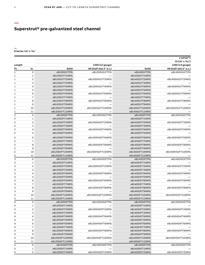## **Superstrut® pre-galvanized steel channel**

#### **— B Series 15⁄8" x 13⁄16"**

|                     |                |                                   |                        |                 | e (eFab™)<br>$B(1\%" \times 1\%")$ |  |
|---------------------|----------------|-----------------------------------|------------------------|-----------------|------------------------------------|--|
|                     |                |                                   |                        |                 |                                    |  |
| Length              |                |                                   | 1200 (12 gauge)        |                 | 1400 (14 gauge)                    |  |
| Ft.                 | In.            | Solid                             | HS (half-slot 2" o.c.) | Solid           | HS (half-slot 2" o.c.)             |  |
| $\mathbf{1}$        | $\mathbf 0$    | eB12001FTPG                       | eB1200HS1FTPG          | eB14001FTPG     | eB1400HS1FTPG                      |  |
| 1                   | 1              | eB12001FT1INPG                    |                        | eB14001FT1INPG  |                                    |  |
| 1                   | $\overline{c}$ | eB12001FT2INPG                    | eB1200HS1FT2INPG       | eB14001FT2INPG  | eB1400HS1FT2INPG                   |  |
| 1                   | 3              | eB12001FT3INPG                    |                        | eB14001FT3INPG  |                                    |  |
| 1                   | $\overline{4}$ | eB12001FT4INPG                    | eB1200HS1FT4INPG       | eB14001FT4INPG  | eB1400HS1FT4INPG                   |  |
| 1                   | 5              | eB12001FT5INPG                    |                        | eB14001FT5INPG  |                                    |  |
| 1                   | 6              | eB12001FT6INPG                    | eB1200HS1FT6INPG       | eB14001FT6INPG  | eB1400HS1FT6INPG                   |  |
| 1                   | $\overline{7}$ | eB12001FT7INPG                    |                        | eB14001FT7INPG  |                                    |  |
| 1                   | 8              | eB12001FT8INPG                    | eB1200HS1FT8INPG       | eB14001FT8INPG  | eB1400HS1FT8INPG                   |  |
| 1                   | 9              | eB12001FT9INPG                    |                        | eB14001FT9INPG  |                                    |  |
| 1                   | 10             | eB12001FT10INPG                   | eB1200HS1FT10INPG      | eB14001FT10INPG | eB1400HS1FT10INPG                  |  |
| 1                   | 11             | eB12001FT11INPG                   |                        | eB14001FT11INPG |                                    |  |
| 2                   | $\mathbf 0$    | eB12002FTPG                       | eB1200HS2FTPG          | eB14002FTPG     | eB1400HS2FTPG                      |  |
| 2                   | $\mathbf 1$    | eB12002FT1INPG                    |                        | eB14002FT1INPG  |                                    |  |
| 2                   | $\overline{c}$ | eB12002FT2INPG                    | eB1200HS2FT2INPG       | eB14002FT2INPG  | eB1400HS2FT2INPG                   |  |
| 2                   | 3              | eB12002FT3INPG                    |                        | eB14002FT3INPG  |                                    |  |
| 2                   | 4              | eB12002FT4INPG                    | eB1200HS2FT4INPG       | eB14002FT4INPG  | eB1400HS2FT4INPG                   |  |
| $\overline{c}$      | 5              | eB12002FT5INPG                    |                        | eB14002FT5INPG  |                                    |  |
| 2                   | 6              | eB12002FT6INPG                    | eB1200HS2FT6INPG       | eB14002FT6INPG  | eB1400HS2FT6INPG                   |  |
| 2                   | $\overline{7}$ | eB12002FT7INPG                    |                        | eB14002FT7INPG  |                                    |  |
| 2                   | 8              | eB12002FT8INPG                    | eB1200HS2FT8INPG       | eB14002FT8INPG  | eB1400HS2FT8INPG                   |  |
| 2                   | 9              | eB12002FT9INPG                    |                        | eB14002FT9INPG  |                                    |  |
| 2                   | 10             | eB12002FT10INPG                   | eB1200HS2FT10INPG      | eB14002FT10INPG | eB1400HS2FT10INPG                  |  |
| 2                   | 11             | eB12002FT11INPG                   |                        | eB14002FT11INPG |                                    |  |
| 3                   | $\mathbf 0$    | eB12003FTPG                       | eB1200HS3FTPG          | eB14003FTPG     | eB1400HS3FTPG                      |  |
| 3                   | 1              | eB12003FT1INPG                    |                        | eB14003FT1INPG  |                                    |  |
| 3                   | $\overline{c}$ | eB12003FT2INPG                    | eB1200HS3FT2INPG       | eB14003FT2INPG  | eB1400HS3FT2INPG                   |  |
| 3                   | 3              | eB12003FT3INPG                    |                        | eB14003FT3INPG  |                                    |  |
| 3                   | 4              | eB12003FT4INPG                    | eB1200HS3FT4INPG       | eB14003FT4INPG  | eB1400HS3FT4INPG                   |  |
| 3                   | 5              | eB12003FT5INPG                    |                        | eB14003FT5INPG  |                                    |  |
|                     | 6              | eB12003FT6INPG                    | eB1200HS3FT6INPG       | eB14003FT6INPG  | eB1400HS3FT6INPG                   |  |
| 3<br>3              | $\overline{7}$ | eB12003FT7INPG                    |                        | eB14003FT7INPG  |                                    |  |
|                     |                | eB12003FT8INPG                    | eB1200HS3FT8INPG       | eB14003FT8INPG  | eB1400HS3FT8INPG                   |  |
| 3                   | 8              |                                   |                        |                 |                                    |  |
| 3                   | 9              | eB12003FT9INPG<br>eB12003FT10INPG |                        | eB14003FT9INPG  |                                    |  |
| 3                   | 10             |                                   | eB1200HS3FT10INPG      | eB14003FT10INPG | eB1400HS3FT10INPG                  |  |
| 3<br>$\overline{4}$ | 11             | eB12003FT11INPG<br>eB12004FTPG    |                        | eB14003FT11INPG |                                    |  |
|                     | 0              |                                   | eB1200HS4FTPG          | eB14004FTPG     | eB1400HS4FTPG                      |  |
| 4                   | 1              | eB12004FT1INPG                    |                        | eB14004FT1INPG  |                                    |  |
| 4                   | $\overline{c}$ | eB12004FT2INPG                    | eB1200HS4FT2INPG       | eB14004FT2INPG  | eB1400HS4FT2INPG                   |  |
| 4                   | 3              | eB12004FT3INPG                    |                        | eB14004FT3INPG  |                                    |  |
| 4                   | 4              | eB12004FT4INPG                    | eB1200HS4FT4INPG       | eB14004FT4INPG  | eB1400HS4FT4INPG                   |  |
| 4                   | 5              | eB12004FT5INPG                    |                        | eB14004FT5INPG  |                                    |  |
| 4                   | 6              | eB12004FT6INPG                    | eB1200HS4FT6INPG       | eB14004FT6INPG  | eB1400HS4FT6INPG                   |  |
| 4                   | $\bf 7$        | eB12004FT7INPG                    |                        | eB14004FT7INPG  |                                    |  |
| 4                   | 8              | eB12004FT8INPG                    | eB1200HS4FT8INPG       | eB14004FT8INPG  | eB1400HS4FT8INPG                   |  |
| 4                   | 9              | eB12004FT9INPG                    |                        | eB14004FT9INPG  |                                    |  |
| 4                   | 10             | eB12004FT10INPG                   | eB1200HS4FT10INPG      | eB14004FT10INPG | eB1400HS4FT10INPG                  |  |
| 4                   | 11             | eB12004FT11INPG                   |                        | eB14004FT11INPG |                                    |  |
| 5                   | 0              | eB12005FTPG                       | eB1200HS5FTPG          | eB14005FTPG     | eB1400HS5FTPG                      |  |
| 5                   | $\mathbf 1$    | eB12005FT1INPG                    |                        | eB14005FT1INPG  |                                    |  |
| 5                   | $\mathsf{S}$   | eB12005FT2INPG                    | eB1200HS5FT2INPG       | eB14005FT2INPG  | eB1400HS5FT2INPG                   |  |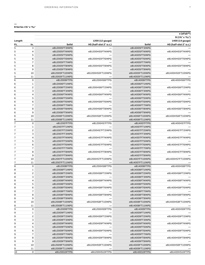| Length         |                         |                 | 1200 (12 gauge)        |                 | 1400 (14 gauge)        |  |
|----------------|-------------------------|-----------------|------------------------|-----------------|------------------------|--|
| Ft.            | In.                     | Solid           | HS (half-slot 2" o.c.) | Solid           | HS (half-slot 2" o.c.) |  |
| 5              | 3                       | eB12005FT3INPG  |                        | eB14005FT3INPG  |                        |  |
| 5              | 4                       | eB12005FT4INPG  | eB1200HS5FT4INPG       | eB14005FT4INPG  | eB1400HS5FT4INPG       |  |
| 5              | 5                       | eB12005FT5INPG  |                        | eB14005FT5INPG  |                        |  |
| 5              | 6                       | eB12005FT6INPG  | eB1200HS5FT6INPG       | eB14005FT6INPG  | eB1400HS5FT6INPG       |  |
| 5              | $\overline{7}$          | eB12005FT7INPG  |                        | eB14005FT7INPG  |                        |  |
| 5              | 8                       | eB12005FT8INPG  | eB1200HS5FT8INPG       | eB14005FT8INPG  | eB1400HS5FT8INPG       |  |
| 5              | 9                       | eB12005FT9INPG  |                        | eB14005FT9INPG  |                        |  |
| 5              | 10                      | eB12005FT10INPG | eB1200HS5FT10INPG      | eB14005FT10INPG | eB1400HS5FT10INPG      |  |
| 5              | 11                      | eB12005FT11INPG |                        | eB14005FT11INPG |                        |  |
| 6              | $\mathsf{O}\xspace$     | eB12006FTPG     | eB1200HS6FTPG          | eB14006FTPG     | eB1400HS6FTPG          |  |
| 6              | 1                       | eB12006FT1INPG  |                        | eB14006FT1INPG  |                        |  |
| 6              | 2                       | eB12006FT2INPG  | eB1200HS6FT2INPG       | eB14006FT2INPG  | eB1400HS6FT2INPG       |  |
| 6              | 3                       | eB12006FT3INPG  |                        | eB14006FT3INPG  |                        |  |
| 6              | $\overline{4}$          | eB12006FT4INPG  | eB1200HS6FT4INPG       | eB14006FT4INPG  | eB1400HS6FT4INPG       |  |
| 6              | 5                       | eB12006FT5INPG  |                        | eB14006FT5INPG  |                        |  |
| 6              | 6                       | eB12006FT6INPG  | eB1200HS6FT6INPG       | eB14006FT6INPG  | eB1400HS6FT6INPG       |  |
| 6              | $\overline{7}$          | eB12006FT7INPG  |                        | eB14006FT7INPG  |                        |  |
| 6              | 8                       | eB12006FT8INPG  | eB1200HS6FT8INPG       | eB14006FT8INPG  | eB1400HS6FT8INPG       |  |
| 6              | 9                       | eB12006FT9INPG  |                        | eB14006FT9INPG  |                        |  |
| 6              | 10                      | eB12006FT10INPG | eB1200HS6FT10INPG      | eB14006FT10INPG | eB1400HS6FT10INPG      |  |
| 6              | 11                      | eB12006FT11INPG |                        | eB14006FT11INPG |                        |  |
| $\overline{7}$ | $\mathsf{o}$            | eB12007FTPG     | eB1200HS7FTPG          | eB14007FTPG     | eB1400HS7FTPG          |  |
| 7              | $\mathbf{1}$            | eB12007FT1INPG  |                        | eB14007FT1INPG  |                        |  |
| 7              | $\mathsf{S}$            | eB12007FT2INPG  | eB1200HS7FT2INPG       | eB14007FT2INPG  | eB1400HS7FT2INPG       |  |
| 7              | 3                       | eB12007FT3INPG  |                        | eB14007FT3INPG  |                        |  |
| 7              | 4                       | eB12007FT4INPG  | eB1200HS7FT4INPG       | eB14007FT4INPG  | eB1400HS7FT4INPG       |  |
| 7              | 5                       | eB12007FT5INPG  |                        | eB14007FT5INPG  |                        |  |
| 7              | 6                       | eB12007FT6INPG  | eB1200HS7FT6INPG       | eB14007FT6INPG  | eB1400HS7FT6INPG       |  |
| 7              | $\overline{7}$          | eB12007FT7INPG  |                        | eB14007FT7INPG  |                        |  |
| 7              | 8                       | eB12007FT8INPG  | eB1200HS7FT8INPG       | eB14007FT8INPG  | eB1400HS7FT8INPG       |  |
| 7              | 9                       | eB12007FT9INPG  |                        | eB14007FT9INPG  |                        |  |
| 7              | 10                      | eB12007FT10INPG | eB1200HS7FT10INPG      | eB14007FT10INPG | eB1400HS7FT10INPG      |  |
| 7              | 11                      | eB12007FT11INPG |                        | eB14007FT11INPG |                        |  |
| 8              | $\mathsf{o}$            | eB12008FTPG     | eB1200HS8FTPG          | eB14008FTPG     | eB1400HS8FTPG          |  |
| 8              | 1                       | eB12008FT1INPG  |                        | eB14008FT1INPG  |                        |  |
| 8              | $\overline{c}$          | eB12008FT2INPG  | eB1200HS8FT2INPG       | eB14008FT2INPG  | eB1400HS8FT2INPG       |  |
| 8              | 3                       | eB12008FT3INPG  |                        | eB14008FT3INPG  |                        |  |
| 8              | $\overline{\mathbf{4}}$ | eB12008FT4INPG  | eB1200HS8FT4INPG       | eB14008FT4INPG  | eB1400HS8FT4INPG       |  |
| 8              | 5                       | eB12008FT5INPG  |                        | eB14008FT5INPG  |                        |  |
| 8              | 6                       | eB12008FT6INPG  | eB1200HS8FT6INPG       | eB14008FT6INPG  | eB1400HS8FT6INPG       |  |
| 8              | $\overline{7}$          | eB12008FT7INPG  |                        | eB14008FT7INPG  |                        |  |
| 8              | 8                       | eB12008FT8INPG  | eB1200HS8FT8INPG       | eB14008FT8INPG  | eB1400HS8FT8INPG       |  |
| 8              | 9                       | eB12008FT9INPG  |                        | eB14008FT9INPG  |                        |  |
| 8              | 10                      | eB12008FT10INPG | eB1200HS8FT10INPG      | eB14008FT10INPG | eB1400HS8FT10INPG      |  |
| 8              | 11                      | eB12008FT11INPG |                        | eB14008FT11INPG |                        |  |
| 9              | $\mathsf{O}$            | eB12009FTPG     | eB1200HS9FTPG          | eB14009FTPG     | eB1400HS9FTPG          |  |
| 9              | 1                       | eB12009FT1INPG  |                        | eB14009FT1INPG  |                        |  |
| 9              | 2                       | eB12009FT2INPG  | eB1200HS9FT2INPG       | eB14009FT2INPG  | eB1400HS9FT2INPG       |  |
| 9              | 3                       | eB12009FT3INPG  |                        | eB14009FT3INPG  |                        |  |
| 9              | 4                       | eB12009FT4INPG  | eB1200HS9FT4INPG       | eB14009FT4INPG  | eB1400HS9FT4INPG       |  |
| 9              | 5                       | eB12009FT5INPG  |                        | eB14009FT5INPG  |                        |  |
| 9              | 6                       | eB12009FT6INPG  | eB1200HS9FT6INPG       | eB14009FT6INPG  | eB1400HS9FT6INPG       |  |
| 9              | $\overline{7}$          | eB12009FT7INPG  |                        | eB14009FT7INPG  |                        |  |
| 9              |                         |                 |                        |                 |                        |  |
| 9              | 8<br>9                  | eB12009FT8INPG  | eB1200HS9FT8INPG       | eB14009FT8INPG  | eB1400HS9FT8INPG       |  |
| 9              |                         | eB12009FT9INPG  |                        | eB14009FT9INPG  |                        |  |
| 9              | 10                      | eB12009FT10INPG | eB1200HS9FT10INPG      | eB14009FT10INPG | eB1400HS9FT10INPG      |  |
|                | 11<br>$\mathsf{o}$      | eB12009FT11INPG |                        | eB14009FT11INPG |                        |  |
| 10             |                         | eB120010FTPG    | eB1200HS10FTPG         | eB140010FTPG    | eB1400HS10FTPG         |  |